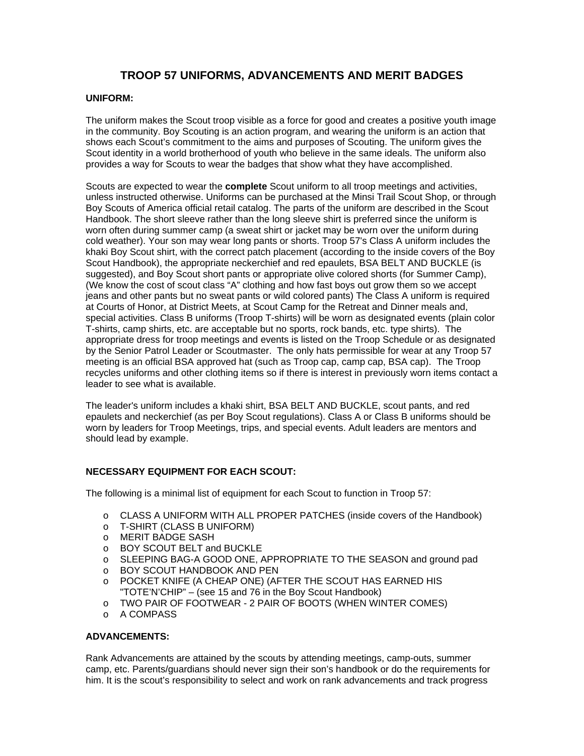# **TROOP 57 UNIFORMS, ADVANCEMENTS AND MERIT BADGES**

#### **UNIFORM:**

The uniform makes the Scout troop visible as a force for good and creates a positive youth image in the community. Boy Scouting is an action program, and wearing the uniform is an action that shows each Scout's commitment to the aims and purposes of Scouting. The uniform gives the Scout identity in a world brotherhood of youth who believe in the same ideals. The uniform also provides a way for Scouts to wear the badges that show what they have accomplished.

Scouts are expected to wear the **complete** Scout uniform to all troop meetings and activities, unless instructed otherwise. Uniforms can be purchased at the Minsi Trail Scout Shop, or through Boy Scouts of America official retail catalog. The parts of the uniform are described in the Scout Handbook. The short sleeve rather than the long sleeve shirt is preferred since the uniform is worn often during summer camp (a sweat shirt or jacket may be worn over the uniform during cold weather). Your son may wear long pants or shorts. Troop 57's Class A uniform includes the khaki Boy Scout shirt, with the correct patch placement (according to the inside covers of the Boy Scout Handbook), the appropriate neckerchief and red epaulets, BSA BELT AND BUCKLE (is suggested), and Boy Scout short pants or appropriate olive colored shorts (for Summer Camp), (We know the cost of scout class "A" clothing and how fast boys out grow them so we accept jeans and other pants but no sweat pants or wild colored pants) The Class A uniform is required at Courts of Honor, at District Meets, at Scout Camp for the Retreat and Dinner meals and, special activities. Class B uniforms (Troop T-shirts) will be worn as designated events (plain color T-shirts, camp shirts, etc. are acceptable but no sports, rock bands, etc. type shirts). The appropriate dress for troop meetings and events is listed on the Troop Schedule or as designated by the Senior Patrol Leader or Scoutmaster. The only hats permissible for wear at any Troop 57 meeting is an official BSA approved hat (such as Troop cap, camp cap, BSA cap). The Troop recycles uniforms and other clothing items so if there is interest in previously worn items contact a leader to see what is available.

The leader's uniform includes a khaki shirt, BSA BELT AND BUCKLE, scout pants, and red epaulets and neckerchief (as per Boy Scout regulations). Class A or Class B uniforms should be worn by leaders for Troop Meetings, trips, and special events. Adult leaders are mentors and should lead by example.

### **NECESSARY EQUIPMENT FOR EACH SCOUT:**

The following is a minimal list of equipment for each Scout to function in Troop 57:

- o CLASS A UNIFORM WITH ALL PROPER PATCHES (inside covers of the Handbook)
- o T-SHIRT (CLASS B UNIFORM)
- o MERIT BADGE SASH
- o BOY SCOUT BELT and BUCKLE
- o SLEEPING BAG-A GOOD ONE, APPROPRIATE TO THE SEASON and ground pad
- o BOY SCOUT HANDBOOK AND PEN
- o POCKET KNIFE (A CHEAP ONE) (AFTER THE SCOUT HAS EARNED HIS "TOTE'N'CHIP" – (see 15 and 76 in the Boy Scout Handbook)
- o TWO PAIR OF FOOTWEAR 2 PAIR OF BOOTS (WHEN WINTER COMES)
- o A COMPASS

## **ADVANCEMENTS:**

Rank Advancements are attained by the scouts by attending meetings, camp-outs, summer camp, etc. Parents/guardians should never sign their son's handbook or do the requirements for him. It is the scout's responsibility to select and work on rank advancements and track progress